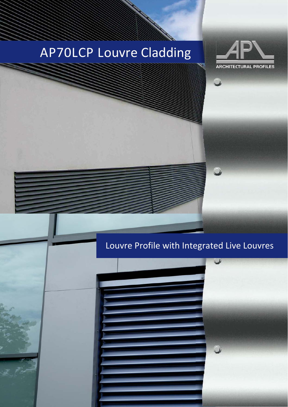# AP70LCP Louvre Cladding



### Louvre Profile with Integrated Live Louvres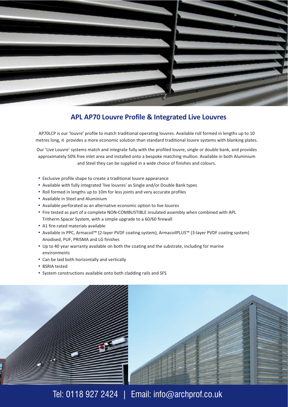

#### **APL AP70 Louvre Profile & Integrated Live Louvres**

AP70LCP is our 'louvre' profile to match traditional operating louvres. Available roll formed in lengths up to 10 metres long, it provides a more economic solution than standard traditional louvre systems with blanking plates.

Our 'Live Louvre' systems match and integrate fully with the profiled louvre, single or double bank, and provides approximately 50% free inlet area and installed onto a bespoke matching mullion. Available in both Aluminium and Steel they can be supplied in a wide choice of finishes and colours.

- Exclusive profile shape to create a traditional louvre appearance
- Available with fully integrated 'live louvres' as Single and/or Double Bank types
- Roll formed in lengths up to 10m for less joints and very accurate profiles
- Available in Steel and Aluminium
- Available perforated as an alternative economic option to live louvres
- Fire tested as part of a complete NON-COMBUSTIBLE insulated assembly when combined with APL Tritherm Spacer System, with a simple upgrade to a 60/60 firewall
- A1 fire-rated materials available
- . Available in PPC, Armacoil™ (2-layer PVDF coating system), ArmacoilPLUS™ (3-layer PVDF coating system) Anodised, PUF, PRISMA and LG finishes
- Up to 40 year warranty available on both the coating and the substrate, including for marine environments
- Can be laid both horizontally and vertically
- BSRIA tested
- System constructions available onto both cladding rails and SFS





Tel: 0118 927 2424 | Email: info@archprof.co.uk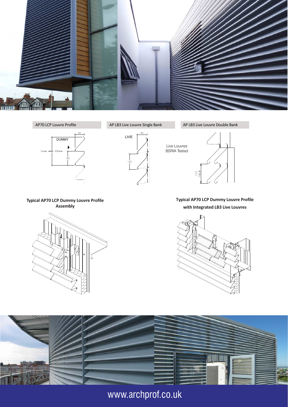





**Typical AP70 LCP Dummy Louvre Profile** with Integrated LB3 Live Louvres





## www.archprof.co.uk